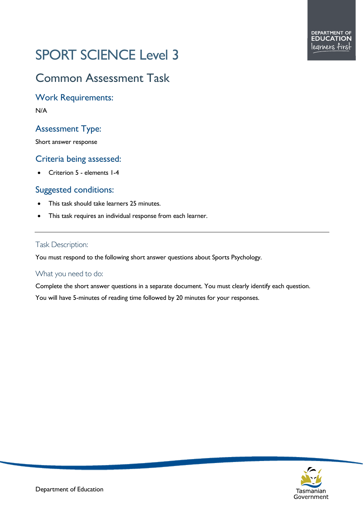# SPORT SCIENCE Level 3

# Common Assessment Task

Work Requirements:

N/A

# Assessment Type:

Short answer response

# Criteria being assessed:

• Criterion 5 - elements 1-4

# Suggested conditions:

- This task should take learners 25 minutes.
- This task requires an individual response from each learner.

### Task Description:

You must respond to the following short answer questions about Sports Psychology.

## What you need to do:

Complete the short answer questions in a separate document. You must clearly identify each question. You will have 5-minutes of reading time followed by 20 minutes for your responses.

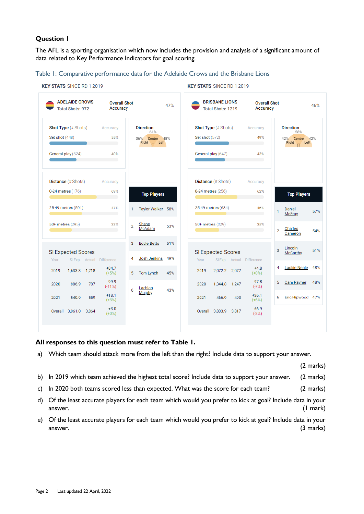#### **Question 1**

**KEY STATS** SINCE RD 1 2019

The AFL is a sporting organisation which now includes the provision and analysis of a significant amount of data related to Key Performance Indicators for goal scoring.

#### Table 1: Comparative performance data for the Adelaide Crows and the Brisbane Lions

| <b>ADELAIDE CROWS</b><br><b>Total Shots: 972</b> | <b>Overall Shot</b><br>Accuracy |                                | 47% | <b>BRISBANE LIONS</b><br>Total Shots: 1219 |                           | <b>Overall Shot</b><br>Accuracy |                                      | 46%<br><b>Direction</b><br>58% |  |
|--------------------------------------------------|---------------------------------|--------------------------------|-----|--------------------------------------------|---------------------------|---------------------------------|--------------------------------------|--------------------------------|--|
| Shot Type (# Shots)                              | Accuracy                        | <b>Direction</b>               | 61% |                                            | Shot Type (# Shots)       |                                 |                                      |                                |  |
| Set shot (448)                                   | 55%                             | 36%<br>Centre<br>Right<br>Left | 48% | Set shot (572)                             |                           | 49%                             | 42%<br>Centre 42%<br>Right<br>Left   |                                |  |
| General play (524)                               | 40%                             |                                |     | General play (647)                         |                           | 43%                             |                                      |                                |  |
| <b>Distance</b> (# Shots)                        | Accuracy                        |                                |     | <b>Distance</b> (# Shots)                  |                           | Accuracy                        |                                      |                                |  |
| 0-24 metres (176)                                | 69%<br>$\sim$                   | <b>Top Players</b>             |     | 0-24 metres (256)                          |                           | 62%                             | <b>Top Players</b>                   |                                |  |
| 25-49 metres (501)                               | 47%<br>1                        | Taylor Walker 58%              |     | 25-49 metres (634)                         |                           | 46%                             | Daniel<br>1<br><b>McStay</b>         | 57%                            |  |
| 50+ metres (295)                                 | 33%<br>$\overline{2}$           | Shane<br>McAdam                | 53% | 50+ metres (329)                           |                           | 35%                             | Charles<br>$\overline{2}$<br>Cameron | 54%                            |  |
| SI Expected Scores                               | 3                               | <b>Eddie Betts</b>             | 51% |                                            | SI Expected Scores        |                                 | Lincoln<br>3<br>McCarthy             | 51%                            |  |
| SI Exp. Actual Difference<br>Year                | 4                               | Josh Jenkins                   | 49% | Year                                       | SI Exp. Actual Difference |                                 |                                      |                                |  |
| 2019<br>1,633.3 1,718                            | $+84.7$<br>$(+5%)$<br>5         | Tom Lynch                      | 45% | 2019                                       | 2,072.2 2,077             | $+4.8$<br>$(+0\%)$              | <b>Lachie Neale</b><br>4             | 48%                            |  |
| 2020<br>886.9<br>787                             | $-99.9$<br>$(-11%)$<br>6        | Lachlan                        | 43% | 2020                                       | 1,344.8 1,247             | $-97.8$<br>$(-7%)$              | 5 Cam Rayner                         | 48%                            |  |
| 559<br>2021<br>540.9                             | $+18.1$<br>$(+3%)$              | Murphy                         |     | 2021                                       | 493<br>466.9              | $+26.1$<br>$(+6%)$              | Eric Hipwood 47%<br>6                |                                |  |
| Overall 3,061.0<br>3,064                         | $+3.0$<br>$(+0%)$               |                                |     |                                            | Overall 3,883.9 3,817     | $-66.9$<br>$(-2%)$              |                                      |                                |  |

#### **KEY STATS** SINCE RD 1 2019

#### **All responses to this question must refer to Table 1.**

a) Which team should attack more from the left than the right? Include data to support your answer.

(2 marks)

- b) In 2019 which team achieved the highest total score? Include data to support your answer. (2 marks)
- c) In 2020 both teams scored less than expected. What was the score for each team? (2 marks)
- d) Of the least accurate players for each team which would you prefer to kick at goal? Include data in your answer. (1 mark)
- e) Of the least accurate players for each team which would you prefer to kick at goal? Include data in your answer. (3 marks)